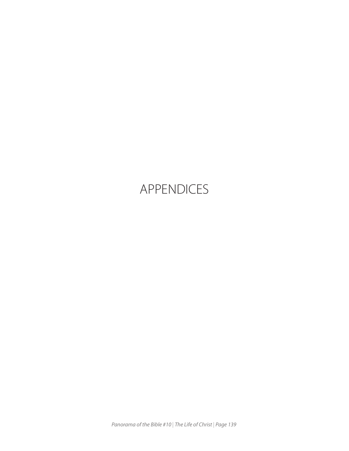## APPENDICES